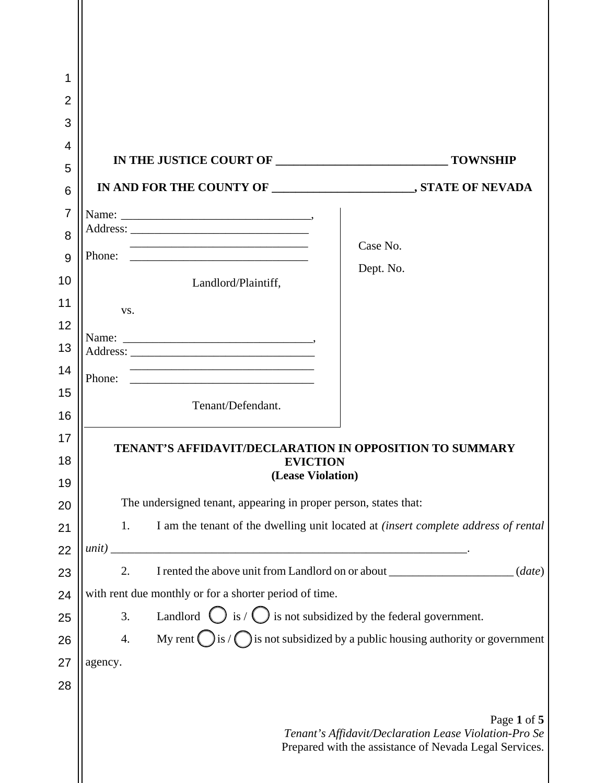| 1              |                                                                                                                                                                                                              |                                                                                  |                                                                                                                                |  |  |
|----------------|--------------------------------------------------------------------------------------------------------------------------------------------------------------------------------------------------------------|----------------------------------------------------------------------------------|--------------------------------------------------------------------------------------------------------------------------------|--|--|
| $\overline{2}$ |                                                                                                                                                                                                              |                                                                                  |                                                                                                                                |  |  |
| 3              |                                                                                                                                                                                                              |                                                                                  |                                                                                                                                |  |  |
| 4              |                                                                                                                                                                                                              |                                                                                  |                                                                                                                                |  |  |
| 5              |                                                                                                                                                                                                              |                                                                                  |                                                                                                                                |  |  |
| 6              |                                                                                                                                                                                                              |                                                                                  |                                                                                                                                |  |  |
| $\overline{7}$ |                                                                                                                                                                                                              |                                                                                  |                                                                                                                                |  |  |
| 8              |                                                                                                                                                                                                              |                                                                                  | Case No.                                                                                                                       |  |  |
| 9              | Phone:                                                                                                                                                                                                       |                                                                                  | Dept. No.                                                                                                                      |  |  |
| 10             |                                                                                                                                                                                                              | Landlord/Plaintiff,                                                              |                                                                                                                                |  |  |
| 11             | VS.                                                                                                                                                                                                          |                                                                                  |                                                                                                                                |  |  |
| 12             |                                                                                                                                                                                                              |                                                                                  |                                                                                                                                |  |  |
| 13             |                                                                                                                                                                                                              |                                                                                  |                                                                                                                                |  |  |
| 14             | Phone:                                                                                                                                                                                                       |                                                                                  |                                                                                                                                |  |  |
| 15             |                                                                                                                                                                                                              | Tenant/Defendant.                                                                |                                                                                                                                |  |  |
| 16             |                                                                                                                                                                                                              |                                                                                  |                                                                                                                                |  |  |
| 17             | TENANT'S AFFIDAVIT/DECLARATION IN OPPOSITION TO SUMMARY                                                                                                                                                      |                                                                                  |                                                                                                                                |  |  |
| 18             | <b>EVICTION</b><br>(Lease Violation)                                                                                                                                                                         |                                                                                  |                                                                                                                                |  |  |
| 19             |                                                                                                                                                                                                              |                                                                                  |                                                                                                                                |  |  |
| 20             | The undersigned tenant, appearing in proper person, states that:<br>I am the tenant of the dwelling unit located at <i>(insert complete address of rental</i><br>1.                                          |                                                                                  |                                                                                                                                |  |  |
| 21<br>22       | unit)                                                                                                                                                                                                        |                                                                                  |                                                                                                                                |  |  |
| 23             | <u> 2002 - Jan James James James James James James James James James James James James James James James James J</u><br>I rented the above unit from Landlord on or about ______________________(date)<br>2. |                                                                                  |                                                                                                                                |  |  |
| 24             | with rent due monthly or for a shorter period of time.                                                                                                                                                       |                                                                                  |                                                                                                                                |  |  |
| 25             | 3.                                                                                                                                                                                                           | Landlord $\bigcirc$ is / $\bigcirc$ is not subsidized by the federal government. |                                                                                                                                |  |  |
| 26             | My rent $\bigcirc$ is / $\bigcirc$ is not subsidized by a public housing authority or government<br>4.                                                                                                       |                                                                                  |                                                                                                                                |  |  |
| 27             | agency.                                                                                                                                                                                                      |                                                                                  |                                                                                                                                |  |  |
| 28             |                                                                                                                                                                                                              |                                                                                  |                                                                                                                                |  |  |
|                |                                                                                                                                                                                                              |                                                                                  | Page 1 of 5<br>Tenant's Affidavit/Declaration Lease Violation-Pro Se<br>Prepared with the assistance of Nevada Legal Services. |  |  |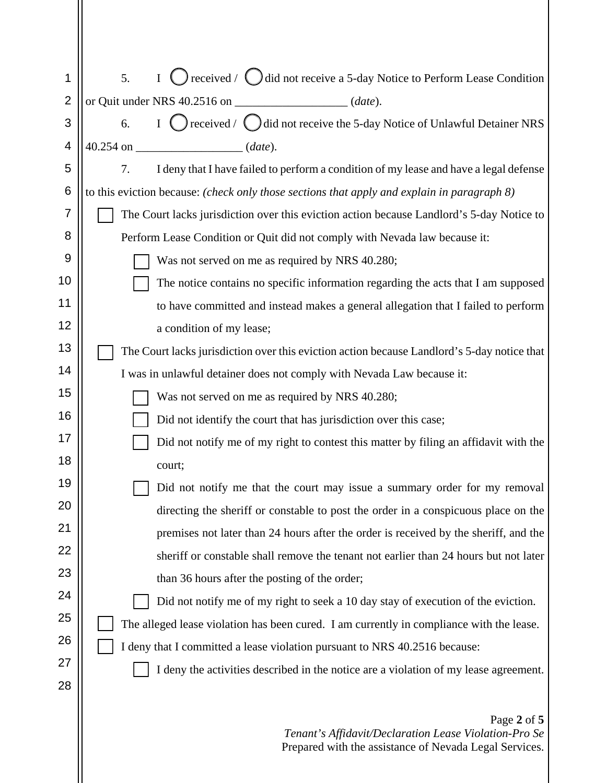| 1              | $\bigcirc$ received / $\bigcirc$ did not receive a 5-day Notice to Perform Lease Condition<br>5.<br>$\mathbf I$ |  |  |
|----------------|-----------------------------------------------------------------------------------------------------------------|--|--|
| $\overline{2}$ | or Quit under NRS 40.2516 on _______________________(date).                                                     |  |  |
| 3              | I $\bigcirc$ received / $\bigcirc$ did not receive the 5-day Notice of Unlawful Detainer NRS<br>6.              |  |  |
| 4              | $40.254$ on $(date)$ .                                                                                          |  |  |
| 5              | 7.<br>I deny that I have failed to perform a condition of my lease and have a legal defense                     |  |  |
| 6              | to this eviction because: (check only those sections that apply and explain in paragraph 8)                     |  |  |
| 7              | The Court lacks jurisdiction over this eviction action because Landlord's 5-day Notice to                       |  |  |
| 8              | Perform Lease Condition or Quit did not comply with Nevada law because it:                                      |  |  |
| 9              | Was not served on me as required by NRS 40.280;                                                                 |  |  |
| 10             | The notice contains no specific information regarding the acts that I am supposed                               |  |  |
| 11             | to have committed and instead makes a general allegation that I failed to perform                               |  |  |
| 12             | a condition of my lease;                                                                                        |  |  |
| 13             | The Court lacks jurisdiction over this eviction action because Landlord's 5-day notice that                     |  |  |
| 14             | I was in unlawful detainer does not comply with Nevada Law because it:                                          |  |  |
| 15             | Was not served on me as required by NRS 40.280;                                                                 |  |  |
| 16             | Did not identify the court that has jurisdiction over this case;                                                |  |  |
| 17             | Did not notify me of my right to contest this matter by filing an affidavit with the                            |  |  |
| 18             | court;                                                                                                          |  |  |
| 19             | Did not notify me that the court may issue a summary order for my removal                                       |  |  |
| 20             | directing the sheriff or constable to post the order in a conspicuous place on the                              |  |  |
| 21             | premises not later than 24 hours after the order is received by the sheriff, and the                            |  |  |
| 22             | sheriff or constable shall remove the tenant not earlier than 24 hours but not later                            |  |  |
| 23             | than 36 hours after the posting of the order;                                                                   |  |  |
| 24             | Did not notify me of my right to seek a 10 day stay of execution of the eviction.                               |  |  |
| 25             | The alleged lease violation has been cured. I am currently in compliance with the lease.                        |  |  |
| 26             | I deny that I committed a lease violation pursuant to NRS 40.2516 because:                                      |  |  |
| 27             | I deny the activities described in the notice are a violation of my lease agreement.                            |  |  |
| 28             |                                                                                                                 |  |  |
|                | Page 2 of 5<br>Tenant's Affidavit/Declaration Lease Violation-Pro Se                                            |  |  |

Prepared with the assistance of Nevada Legal Services.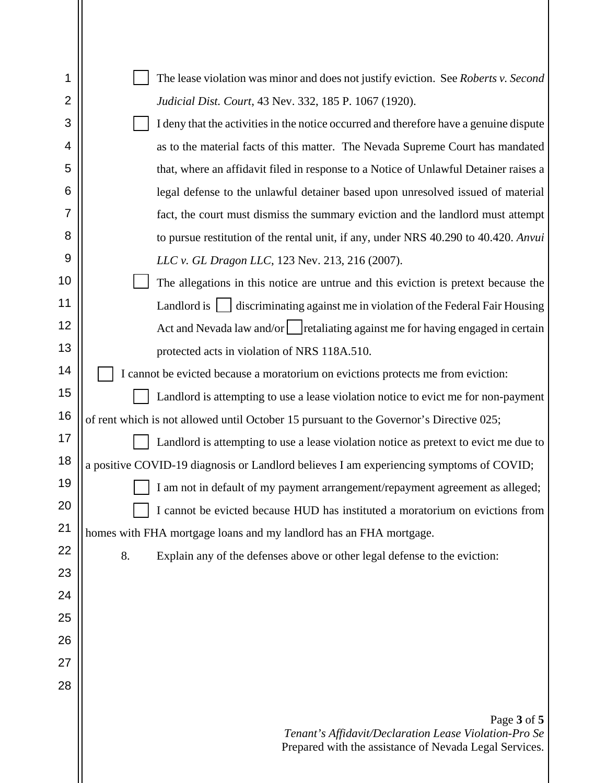| 1              |                                                                                                       |  |  |
|----------------|-------------------------------------------------------------------------------------------------------|--|--|
| $\overline{2}$ | The lease violation was minor and does not justify eviction. See Roberts v. Second                    |  |  |
|                | Judicial Dist. Court, 43 Nev. 332, 185 P. 1067 (1920).                                                |  |  |
| 3              | I deny that the activities in the notice occurred and therefore have a genuine dispute                |  |  |
| 4              | as to the material facts of this matter. The Nevada Supreme Court has mandated                        |  |  |
| 5              | that, where an affidavit filed in response to a Notice of Unlawful Detainer raises a                  |  |  |
| 6              | legal defense to the unlawful detainer based upon unresolved issued of material                       |  |  |
| $\overline{7}$ | fact, the court must dismiss the summary eviction and the landlord must attempt                       |  |  |
| 8              | to pursue restitution of the rental unit, if any, under NRS 40.290 to 40.420. Anvui                   |  |  |
| 9              | LLC v. GL Dragon LLC, 123 Nev. 213, 216 (2007).                                                       |  |  |
| 10             | The allegations in this notice are untrue and this eviction is pretext because the                    |  |  |
| 11             | Landlord is <b>Sandburn School</b> discriminating against me in violation of the Federal Fair Housing |  |  |
| 12             | Act and Nevada law and/or   retaliating against me for having engaged in certain                      |  |  |
| 13             | protected acts in violation of NRS 118A.510.                                                          |  |  |
| 14             | I cannot be evicted because a moratorium on evictions protects me from eviction:                      |  |  |
| 15             | Landlord is attempting to use a lease violation notice to evict me for non-payment                    |  |  |
| 16             | of rent which is not allowed until October 15 pursuant to the Governor's Directive 025;               |  |  |
| 17             | Landlord is attempting to use a lease violation notice as pretext to evict me due to                  |  |  |
| 18             | a positive COVID-19 diagnosis or Landlord believes I am experiencing symptoms of COVID;               |  |  |
| 19             | I am not in default of my payment arrangement/repayment agreement as alleged;                         |  |  |
| 20             | I cannot be evicted because HUD has instituted a moratorium on evictions from                         |  |  |
| 21             | homes with FHA mortgage loans and my landlord has an FHA mortgage.                                    |  |  |
| 22             | 8.<br>Explain any of the defenses above or other legal defense to the eviction:                       |  |  |
| 23             |                                                                                                       |  |  |
| 24             |                                                                                                       |  |  |
| 25             |                                                                                                       |  |  |
| 26             |                                                                                                       |  |  |
| 27             |                                                                                                       |  |  |
| 28             |                                                                                                       |  |  |
|                |                                                                                                       |  |  |
|                | Page 3 of 5<br>Tenant's Affidavit/Declaration Lease Violation-Pro Se                                  |  |  |
|                | Prepared with the assistance of Nevada Legal Services.                                                |  |  |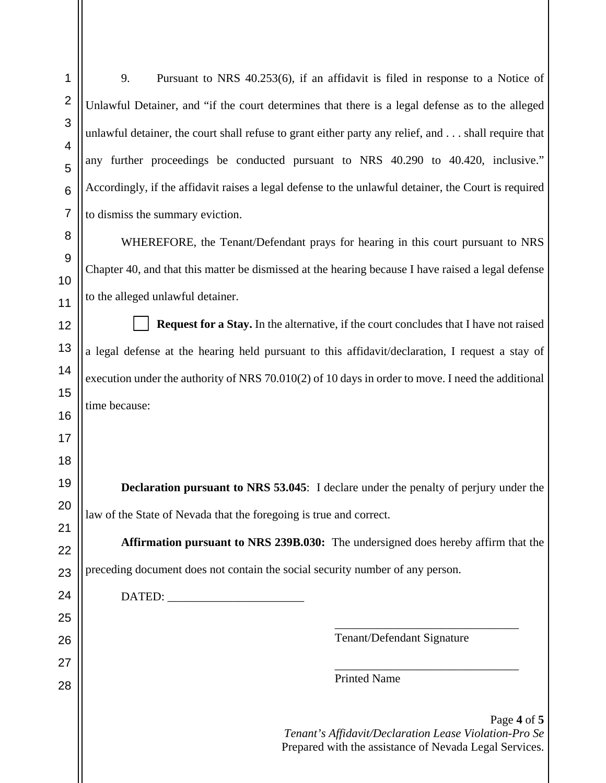9. Pursuant to NRS 40.253(6), if an affidavit is filed in response to a Notice of Unlawful Detainer, and "if the court determines that there is a legal defense as to the alleged unlawful detainer, the court shall refuse to grant either party any relief, and . . . shall require that any further proceedings be conducted pursuant to NRS 40.290 to 40.420, inclusive." Accordingly, if the affidavit raises a legal defense to the unlawful detainer, the Court is required to dismiss the summary eviction.

WHEREFORE, the Tenant/Defendant prays for hearing in this court pursuant to NRS Chapter 40, and that this matter be dismissed at the hearing because I have raised a legal defense to the alleged unlawful detainer.

**Request for a Stay.** In the alternative, if the court concludes that I have not raised a legal defense at the hearing held pursuant to this affidavit/declaration, I request a stay of execution under the authority of NRS 70.010(2) of 10 days in order to move. I need the additional time because:

**Declaration pursuant to NRS 53.045**: I declare under the penalty of perjury under the law of the State of Nevada that the foregoing is true and correct.

**Affirmation pursuant to NRS 239B.030:** The undersigned does hereby affirm that the preceding document does not contain the social security number of any person.

DATED: \_\_\_\_\_\_\_\_\_\_\_\_\_\_\_\_\_\_\_\_\_\_\_

Tenant/Defendant Signature

\_\_\_\_\_\_\_\_\_\_\_\_\_\_\_\_\_\_\_\_\_\_\_\_\_\_\_\_\_\_\_

\_\_\_\_\_\_\_\_\_\_\_\_\_\_\_\_\_\_\_\_\_\_\_\_\_\_\_\_\_\_\_

Printed Name

Page **4** of **5** *Tenant's Affidavit/Declaration Lease Violation-Pro Se* Prepared with the assistance of Nevada Legal Services.